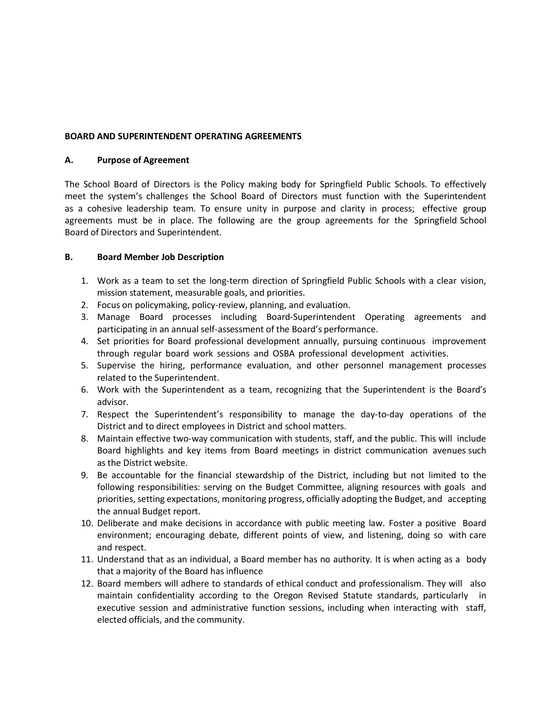### **BOARD AND SUPERINTENDENT OPERATING AGREEMENTS**

#### **A. Purpose of Agreement**

The School Board of Directors is the Policy making body for Springfield Public Schools. To effectively meet the system's challenges the School Board of Directors must function with the Superintendent as a cohesive leadership team. To ensure unity in purpose and clarity in process; effective group agreements must be in place. The following are the group agreements for the Springfield School Board of Directors and Superintendent.

## **B. Board Member Job Description**

- 1. Work as a team to set the long-term direction of Springfield Public Schools with a clear vision, mission statement, measurable goals, and priorities.
- 2. Focus on policymaking, policy-review, planning, and evaluation.
- 3. Manage Board processes including Board-Superintendent Operating agreements and participating in an annual self-assessment of the Board's performance.
- 4. Set priorities for Board professional development annually, pursuing continuous improvement through regular board work sessions and OSBA professional development activities.
- 5. Supervise the hiring, performance evaluation, and other personnel management processes related to the Superintendent.
- 6. Work with the Superintendent as a team, recognizing that the Superintendent is the Board's advisor.
- 7. Respect the Superintendent's responsibility to manage the day-to-day operations of the District and to direct employees in District and school matters.
- 8. Maintain effective two-way communication with students, staff, and the public. This will include Board highlights and key items from Board meetings in district communication avenues such as the District website.
- 9. Be accountable for the financial stewardship of the District, including but not limited to the following responsibilities: serving on the Budget Committee, aligning resources with goals and priorities, setting expectations, monitoring progress, officially adopting the Budget, and accepting the annual Budget report.
- 10. Deliberate and make decisions in accordance with public meeting law. Foster a positive Board environment; encouraging debate, different points of view, and listening, doing so with care and respect.
- 11. Understand that as an individual, a Board member has no authority. It is when acting as a body that a majority of the Board has influence
- 12. Board members will adhere to standards of ethical conduct and professionalism. They will also maintain confidentiality according to the Oregon Revised Statute standards, particularly in executive session and administrative function sessions, including when interacting with staff, elected officials, and the community.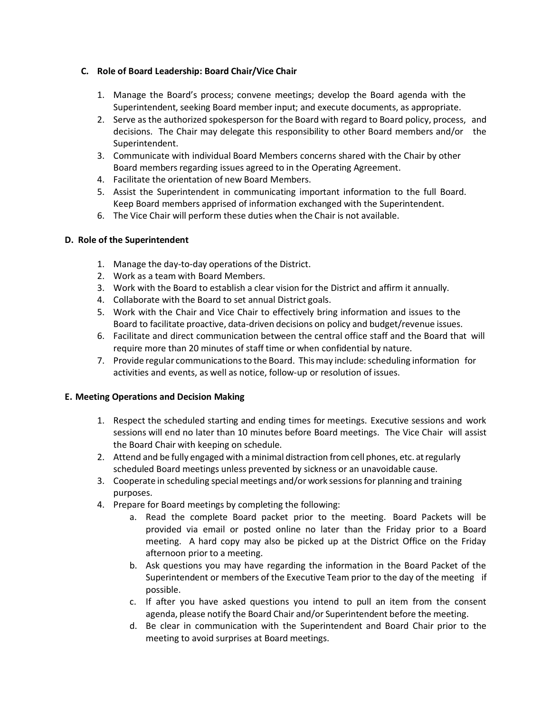## **C. Role of Board Leadership: Board Chair/Vice Chair**

- 1. Manage the Board's process; convene meetings; develop the Board agenda with the Superintendent, seeking Board member input; and execute documents, as appropriate.
- 2. Serve as the authorized spokesperson for the Board with regard to Board policy, process, and decisions. The Chair may delegate this responsibility to other Board members and/or the Superintendent.
- 3. Communicate with individual Board Members concerns shared with the Chair by other Board members regarding issues agreed to in the Operating Agreement.
- 4. Facilitate the orientation of new Board Members.
- 5. Assist the Superintendent in communicating important information to the full Board. Keep Board members apprised of information exchanged with the Superintendent.
- 6. The Vice Chair will perform these duties when the Chair is not available.

## **D. Role of the Superintendent**

- 1. Manage the day-to-day operations of the District.
- 2. Work as a team with Board Members.
- 3. Work with the Board to establish a clear vision for the District and affirm it annually.
- 4. Collaborate with the Board to set annual District goals.
- 5. Work with the Chair and Vice Chair to effectively bring information and issues to the Board to facilitate proactive, data-driven decisions on policy and budget/revenue issues.
- 6. Facilitate and direct communication between the central office staff and the Board that will require more than 20 minutes of staff time or when confidential by nature.
- 7. Provide regular communications to the Board. This may include: scheduling information for activities and events, as well as notice, follow-up or resolution of issues.

#### **E. Meeting Operations and Decision Making**

- 1. Respect the scheduled starting and ending times for meetings. Executive sessions and work sessions will end no later than 10 minutes before Board meetings. The Vice Chair will assist the Board Chair with keeping on schedule.
- 2. Attend and be fully engaged with aminimal distraction fromcell phones, etc. atregularly scheduled Board meetings unless prevented by sickness or an unavoidable cause.
- 3. Cooperate in scheduling special meetings and/or work sessionsfor planning and training purposes.
- 4. Prepare for Board meetings by completing the following:
	- a. Read the complete Board packet prior to the meeting. Board Packets will be provided via email or posted online no later than the Friday prior to a Board meeting. A hard copy may also be picked up at the District Office on the Friday afternoon prior to a meeting.
	- b. Ask questions you may have regarding the information in the Board Packet of the Superintendent or members of the Executive Team prior to the day of the meeting if possible.
	- c. If after you have asked questions you intend to pull an item from the consent agenda, please notify the Board Chair and/or Superintendent before the meeting.
	- d. Be clear in communication with the Superintendent and Board Chair prior to the meeting to avoid surprises at Board meetings.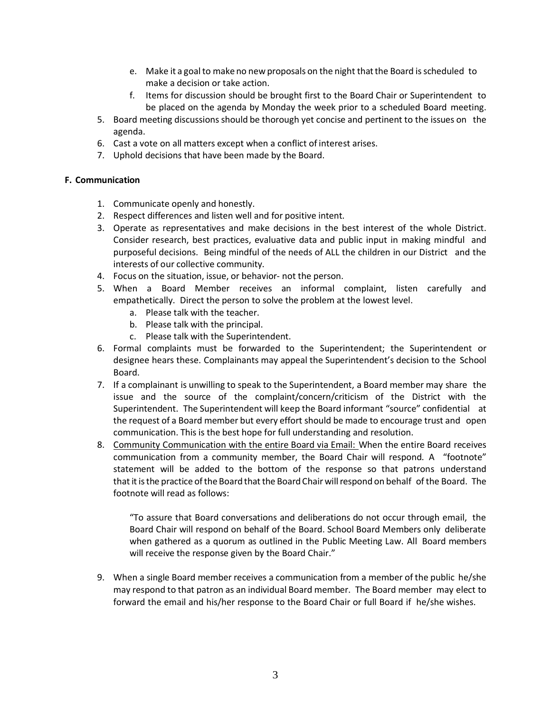- e. Make it a goalto make no new proposals on the night thatthe Board isscheduled to make a decision or take action.
- f. Items for discussion should be brought first to the Board Chair or Superintendent to be placed on the agenda by Monday the week prior to a scheduled Board meeting.
- 5. Board meeting discussions should be thorough yet concise and pertinent to the issues on the agenda.
- 6. Cast a vote on all matters except when a conflict of interest arises.
- 7. Uphold decisions that have been made by the Board.

#### **F. Communication**

- 1. Communicate openly and honestly.
- 2. Respect differences and listen well and for positive intent.
- 3. Operate as representatives and make decisions in the best interest of the whole District. Consider research, best practices, evaluative data and public input in making mindful and purposeful decisions. Being mindful of the needs of ALL the children in our District and the interests of our collective community.
- 4. Focus on the situation, issue, or behavior- not the person.
- 5. When a Board Member receives an informal complaint, listen carefully and empathetically. Direct the person to solve the problem at the lowest level.
	- a. Please talk with the teacher.
	- b. Please talk with the principal.
	- c. Please talk with the Superintendent.
- 6. Formal complaints must be forwarded to the Superintendent; the Superintendent or designee hears these. Complainants may appeal the Superintendent's decision to the School Board.
- 7. If a complainant is unwilling to speak to the Superintendent, a Board member may share the issue and the source of the complaint/concern/criticism of the District with the Superintendent. The Superintendent will keep the Board informant "source" confidential at the request of a Board member but every effort should be made to encourage trust and open communication. This is the best hope for full understanding and resolution.
- 8. Community Communication with the entire Board via Email: When the entire Board receives communication from a community member, the Board Chair will respond. A "footnote" statement will be added to the bottom of the response so that patrons understand that it is the practice of the Board that the Board Chair will respond on behalf of the Board. The footnote will read as follows:

"To assure that Board conversations and deliberations do not occur through email, the Board Chair will respond on behalf of the Board. School Board Members only deliberate when gathered as a quorum as outlined in the Public Meeting Law. All Board members will receive the response given by the Board Chair."

9. When a single Board member receives a communication from a member of the public he/she may respond to that patron as an individual Board member. The Board member may elect to forward the email and his/her response to the Board Chair or full Board if he/she wishes.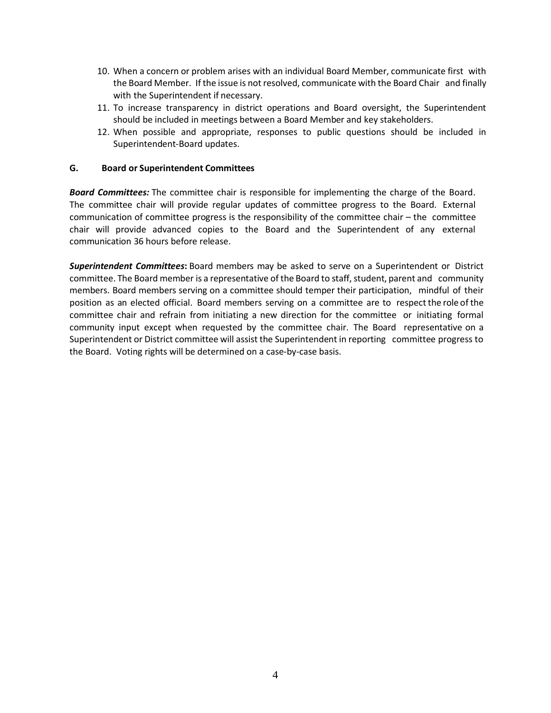- 10. When a concern or problem arises with an individual Board Member, communicate first with the Board Member. If the issue is not resolved, communicate with the Board Chair and finally with the Superintendent if necessary.
- 11. To increase transparency in district operations and Board oversight, the Superintendent should be included in meetings between a Board Member and key stakeholders.
- 12. When possible and appropriate, responses to public questions should be included in Superintendent-Board updates.

#### **G. Board or Superintendent Committees**

*Board Committees:* The committee chair is responsible for implementing the charge of the Board. The committee chair will provide regular updates of committee progress to the Board. External communication of committee progress is the responsibility of the committee chair – the committee chair will provide advanced copies to the Board and the Superintendent of any external communication 36 hours before release.

*Superintendent Committees***:** Board members may be asked to serve on a Superintendent or District committee. The Board member is a representative of the Board to staff, student, parent and community members. Board members serving on a committee should temper their participation, mindful of their position as an elected official. Board members serving on a committee are to respect the role of the committee chair and refrain from initiating a new direction for the committee or initiating formal community input except when requested by the committee chair. The Board representative on a Superintendent or District committee will assist the Superintendent in reporting committee progress to the Board. Voting rights will be determined on a case-by-case basis.